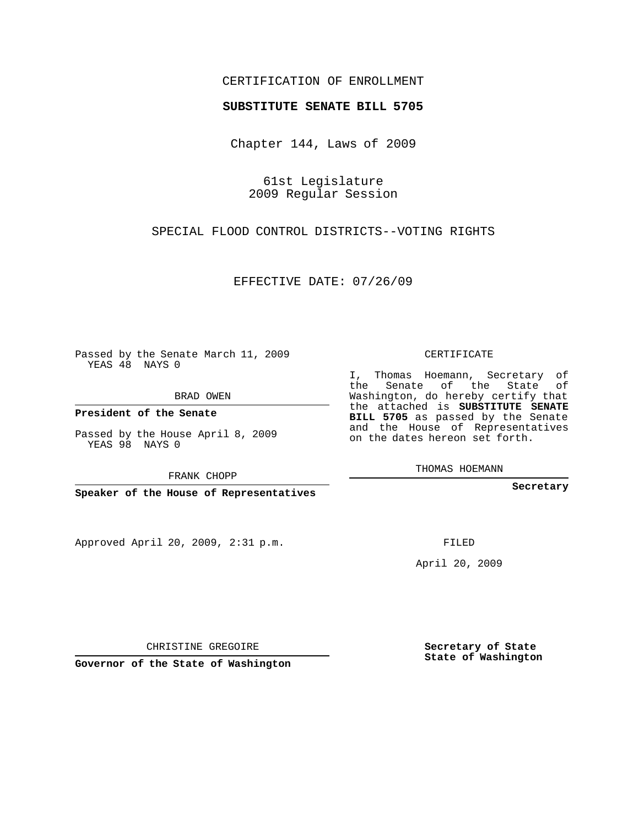## CERTIFICATION OF ENROLLMENT

## **SUBSTITUTE SENATE BILL 5705**

Chapter 144, Laws of 2009

61st Legislature 2009 Regular Session

SPECIAL FLOOD CONTROL DISTRICTS--VOTING RIGHTS

EFFECTIVE DATE: 07/26/09

Passed by the Senate March 11, 2009 YEAS 48 NAYS 0

BRAD OWEN

**President of the Senate**

Passed by the House April 8, 2009 YEAS 98 NAYS 0

FRANK CHOPP

**Speaker of the House of Representatives**

Approved April 20, 2009, 2:31 p.m.

CERTIFICATE

I, Thomas Hoemann, Secretary of the Senate of the State of Washington, do hereby certify that the attached is **SUBSTITUTE SENATE BILL 5705** as passed by the Senate and the House of Representatives on the dates hereon set forth.

THOMAS HOEMANN

**Secretary**

FILED

April 20, 2009

**Secretary of State State of Washington**

CHRISTINE GREGOIRE

**Governor of the State of Washington**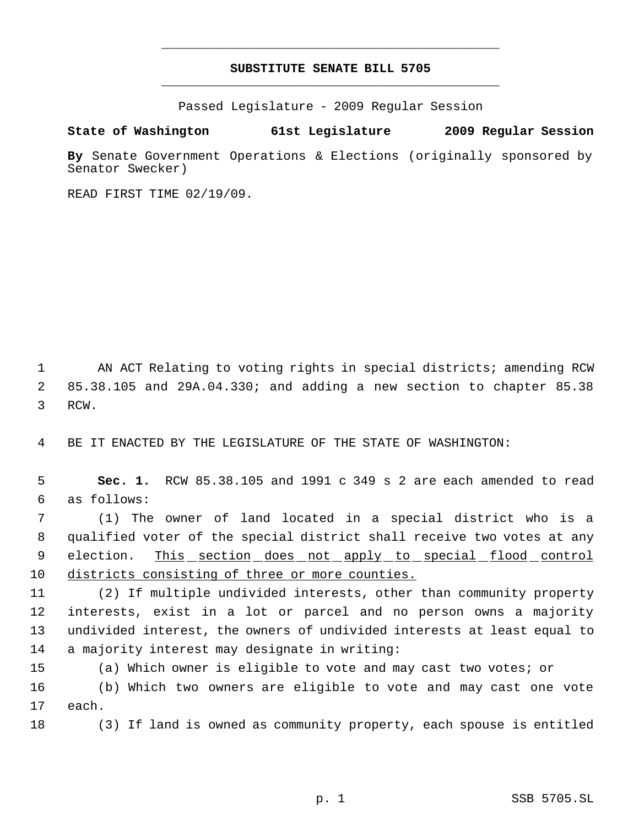## **SUBSTITUTE SENATE BILL 5705** \_\_\_\_\_\_\_\_\_\_\_\_\_\_\_\_\_\_\_\_\_\_\_\_\_\_\_\_\_\_\_\_\_\_\_\_\_\_\_\_\_\_\_\_\_

\_\_\_\_\_\_\_\_\_\_\_\_\_\_\_\_\_\_\_\_\_\_\_\_\_\_\_\_\_\_\_\_\_\_\_\_\_\_\_\_\_\_\_\_\_

Passed Legislature - 2009 Regular Session

**State of Washington 61st Legislature 2009 Regular Session**

**By** Senate Government Operations & Elections (originally sponsored by Senator Swecker)

READ FIRST TIME 02/19/09.

1 AN ACT Relating to voting rights in special districts; amending RCW 2 85.38.105 and 29A.04.330; and adding a new section to chapter 85.38 3 RCW.

4 BE IT ENACTED BY THE LEGISLATURE OF THE STATE OF WASHINGTON:

 5 **Sec. 1.** RCW 85.38.105 and 1991 c 349 s 2 are each amended to read 6 as follows:

 (1) The owner of land located in a special district who is a qualified voter of the special district shall receive two votes at any 9 election. This section does not apply to special flood control districts consisting of three or more counties.

 (2) If multiple undivided interests, other than community property interests, exist in a lot or parcel and no person owns a majority undivided interest, the owners of undivided interests at least equal to a majority interest may designate in writing:

- 15 (a) Which owner is eligible to vote and may cast two votes; or 16 (b) Which two owners are eligible to vote and may cast one vote 17 each.
- 18 (3) If land is owned as community property, each spouse is entitled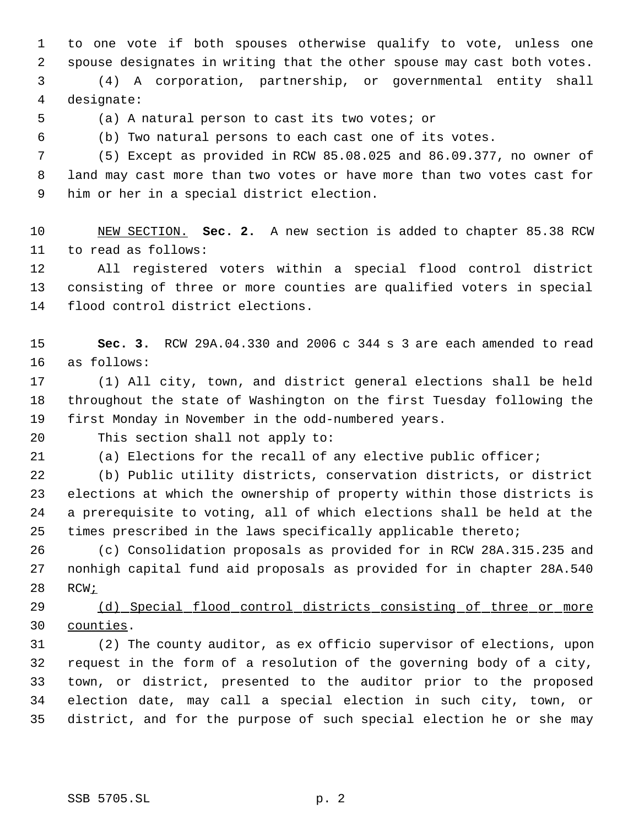to one vote if both spouses otherwise qualify to vote, unless one spouse designates in writing that the other spouse may cast both votes.

 (4) A corporation, partnership, or governmental entity shall designate:

(a) A natural person to cast its two votes; or

(b) Two natural persons to each cast one of its votes.

 (5) Except as provided in RCW 85.08.025 and 86.09.377, no owner of land may cast more than two votes or have more than two votes cast for him or her in a special district election.

 NEW SECTION. **Sec. 2.** A new section is added to chapter 85.38 RCW to read as follows:

 All registered voters within a special flood control district consisting of three or more counties are qualified voters in special flood control district elections.

 **Sec. 3.** RCW 29A.04.330 and 2006 c 344 s 3 are each amended to read as follows:

 (1) All city, town, and district general elections shall be held throughout the state of Washington on the first Tuesday following the first Monday in November in the odd-numbered years.

This section shall not apply to:

(a) Elections for the recall of any elective public officer;

 (b) Public utility districts, conservation districts, or district elections at which the ownership of property within those districts is a prerequisite to voting, all of which elections shall be held at the times prescribed in the laws specifically applicable thereto;

 (c) Consolidation proposals as provided for in RCW 28A.315.235 and nonhigh capital fund aid proposals as provided for in chapter 28A.540 RCW;

 (d) Special flood control districts consisting of three or more counties.

 (2) The county auditor, as ex officio supervisor of elections, upon request in the form of a resolution of the governing body of a city, town, or district, presented to the auditor prior to the proposed election date, may call a special election in such city, town, or district, and for the purpose of such special election he or she may